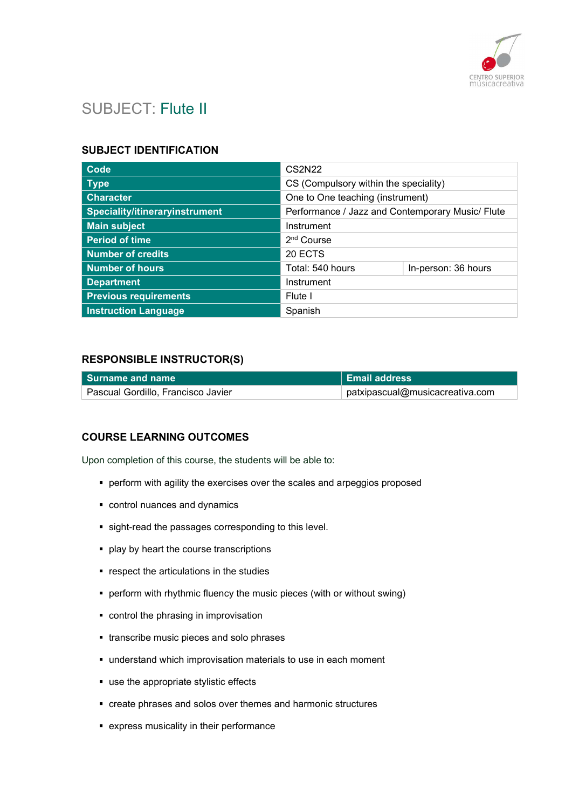

# SUBJECT: Flute II

#### SUBJECT IDENTIFICATION

| <b>Code</b>                           | <b>CS2N22</b>                                    |                     |
|---------------------------------------|--------------------------------------------------|---------------------|
| <b>Type</b>                           | CS (Compulsory within the speciality)            |                     |
| <b>Character</b>                      | One to One teaching (instrument)                 |                     |
| <b>Speciality/itineraryinstrument</b> | Performance / Jazz and Contemporary Music/ Flute |                     |
| <b>Main subject</b>                   | Instrument                                       |                     |
| <b>Period of time</b>                 | 2 <sup>nd</sup> Course                           |                     |
| <b>Number of credits</b>              | 20 ECTS                                          |                     |
| <b>Number of hours</b>                | Total: 540 hours                                 | In-person: 36 hours |
| <b>Department</b>                     | Instrument                                       |                     |
| <b>Previous requirements</b>          | Flute I                                          |                     |
| <b>Instruction Language</b>           | Spanish                                          |                     |

## RESPONSIBLE INSTRUCTOR(S)

| l Surname and name                 | <b>Email address</b>                       |
|------------------------------------|--------------------------------------------|
| Pascual Gordillo, Francisco Javier | $^{\circ}$ patxipascual@musicacreativa.com |

## COURSE LEARNING OUTCOMES

Upon completion of this course, the students will be able to:

- perform with agility the exercises over the scales and arpeggios proposed
- control nuances and dynamics
- sight-read the passages corresponding to this level.
- **play by heart the course transcriptions**
- **•** respect the articulations in the studies
- perform with rhythmic fluency the music pieces (with or without swing)
- control the phrasing in improvisation
- **transcribe music pieces and solo phrases**
- understand which improvisation materials to use in each moment
- use the appropriate stylistic effects
- create phrases and solos over themes and harmonic structures
- express musicality in their performance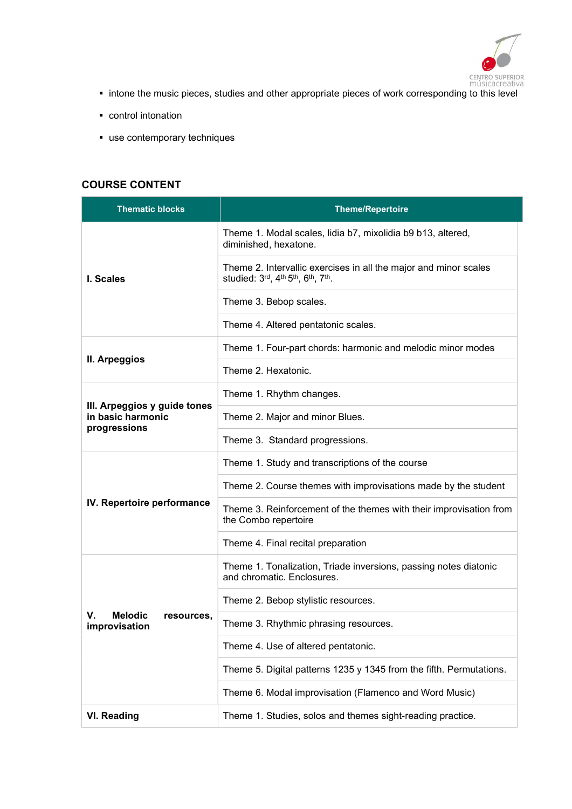

- intone the music pieces, studies and other appropriate pieces of work corresponding to this level
- **•** control intonation
- use contemporary techniques

## COURSE CONTENT

| <b>Thematic blocks</b>                              | <b>Theme/Repertoire</b>                                                                              |
|-----------------------------------------------------|------------------------------------------------------------------------------------------------------|
|                                                     | Theme 1. Modal scales, lidia b7, mixolidia b9 b13, altered,<br>diminished, hexatone.                 |
| I. Scales                                           | Theme 2. Intervallic exercises in all the major and minor scales<br>studied: 3rd, 4th 5th, 6th, 7th. |
|                                                     | Theme 3. Bebop scales.                                                                               |
|                                                     | Theme 4. Altered pentatonic scales.                                                                  |
|                                                     | Theme 1. Four-part chords: harmonic and melodic minor modes                                          |
| II. Arpeggios                                       | Theme 2. Hexatonic.                                                                                  |
|                                                     | Theme 1. Rhythm changes.                                                                             |
| III. Arpeggios y guide tones<br>in basic harmonic   | Theme 2. Major and minor Blues.                                                                      |
| progressions                                        | Theme 3. Standard progressions.                                                                      |
|                                                     | Theme 1. Study and transcriptions of the course                                                      |
|                                                     | Theme 2. Course themes with improvisations made by the student                                       |
| IV. Repertoire performance                          | Theme 3. Reinforcement of the themes with their improvisation from<br>the Combo repertoire           |
|                                                     | Theme 4. Final recital preparation                                                                   |
|                                                     | Theme 1. Tonalization, Triade inversions, passing notes diatonic<br>and chromatic. Enclosures.       |
|                                                     | Theme 2. Bebop stylistic resources.                                                                  |
| <b>Melodic</b><br>V.<br>resources,<br>improvisation | Theme 3. Rhythmic phrasing resources.                                                                |
|                                                     | Theme 4. Use of altered pentatonic.                                                                  |
|                                                     | Theme 5. Digital patterns 1235 y 1345 from the fifth. Permutations.                                  |
|                                                     | Theme 6. Modal improvisation (Flamenco and Word Music)                                               |
| <b>VI. Reading</b>                                  | Theme 1. Studies, solos and themes sight-reading practice.                                           |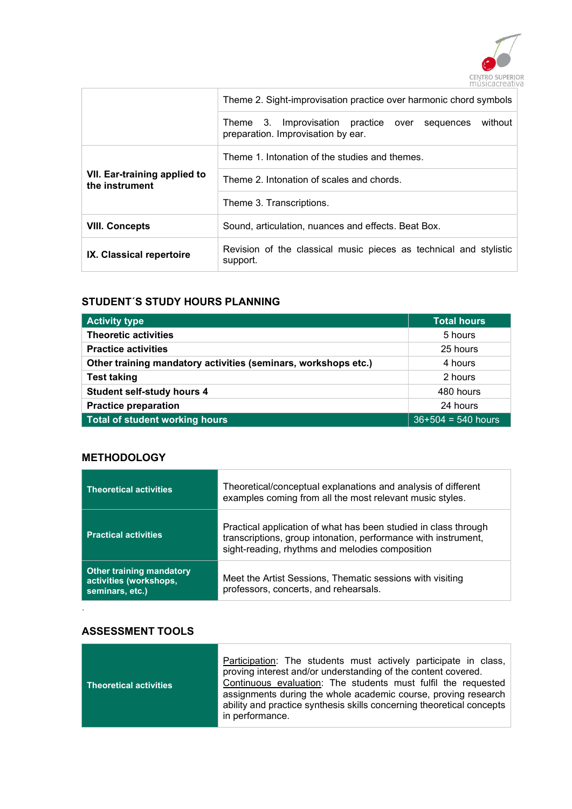

|                                                | Theme 2. Sight-improvisation practice over harmonic chord symbols                                  |  |
|------------------------------------------------|----------------------------------------------------------------------------------------------------|--|
|                                                | without<br>Theme 3. Improvisation practice over<br>sequences<br>preparation. Improvisation by ear. |  |
|                                                | Theme 1. Intonation of the studies and themes.                                                     |  |
| VII. Ear-training applied to<br>the instrument | Theme 2. Intonation of scales and chords.                                                          |  |
|                                                | Theme 3. Transcriptions.                                                                           |  |
| <b>VIII. Concepts</b>                          | Sound, articulation, nuances and effects. Beat Box.                                                |  |
| IX. Classical repertoire                       | Revision of the classical music pieces as technical and stylistic<br>support.                      |  |

## STUDENT´S STUDY HOURS PLANNING

| <b>Activity type</b>                                           | <b>Total hours</b>   |
|----------------------------------------------------------------|----------------------|
| <b>Theoretic activities</b>                                    | 5 hours              |
| <b>Practice activities</b>                                     | 25 hours             |
| Other training mandatory activities (seminars, workshops etc.) | 4 hours              |
| <b>Test taking</b>                                             | 2 hours              |
| <b>Student self-study hours 4</b>                              | 480 hours            |
| <b>Practice preparation</b>                                    | 24 hours             |
| <b>Total of student working hours</b>                          | $36+504 = 540$ hours |

## **METHODOLOGY**

| <b>Theoretical activities</b>                                         | Theoretical/conceptual explanations and analysis of different<br>examples coming from all the most relevant music styles.                                                            |
|-----------------------------------------------------------------------|--------------------------------------------------------------------------------------------------------------------------------------------------------------------------------------|
| <b>Practical activities</b>                                           | Practical application of what has been studied in class through<br>transcriptions, group intonation, performance with instrument,<br>sight-reading, rhythms and melodies composition |
| Other training mandatory<br>activities (workshops,<br>seminars, etc.) | Meet the Artist Sessions, Thematic sessions with visiting<br>professors, concerts, and rehearsals.                                                                                   |

## ASSESSMENT TOOLS

.

г

| Theoretical activities | Participation: The students must actively participate in class,<br>proving interest and/or understanding of the content covered.<br>Continuous evaluation: The students must fulfil the requested<br>assignments during the whole academic course, proving research<br>ability and practice synthesis skills concerning theoretical concepts<br>in performance. |
|------------------------|-----------------------------------------------------------------------------------------------------------------------------------------------------------------------------------------------------------------------------------------------------------------------------------------------------------------------------------------------------------------|
|------------------------|-----------------------------------------------------------------------------------------------------------------------------------------------------------------------------------------------------------------------------------------------------------------------------------------------------------------------------------------------------------------|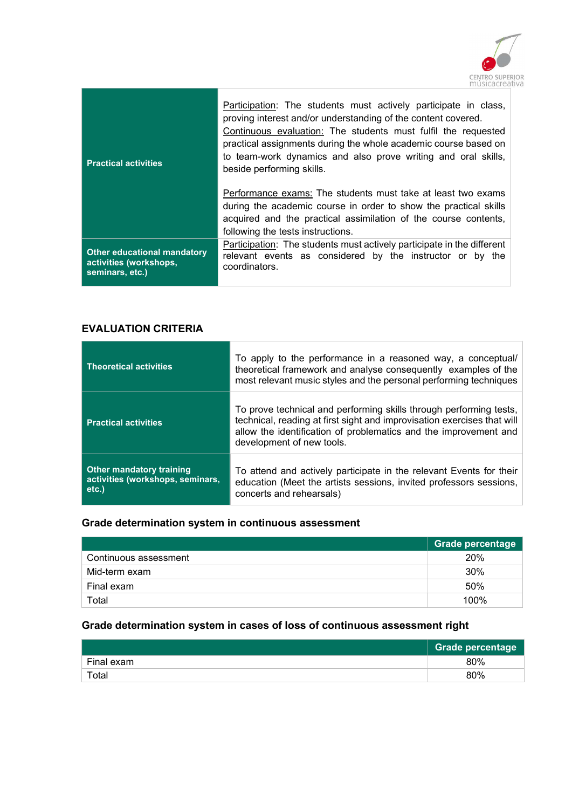

| <b>Practical activities</b>                                                     | Participation: The students must actively participate in class,<br>proving interest and/or understanding of the content covered.<br>Continuous evaluation: The students must fulfil the requested<br>practical assignments during the whole academic course based on<br>to team-work dynamics and also prove writing and oral skills,<br>beside performing skills. |
|---------------------------------------------------------------------------------|--------------------------------------------------------------------------------------------------------------------------------------------------------------------------------------------------------------------------------------------------------------------------------------------------------------------------------------------------------------------|
|                                                                                 | Performance exams: The students must take at least two exams<br>during the academic course in order to show the practical skills<br>acquired and the practical assimilation of the course contents,<br>following the tests instructions.                                                                                                                           |
| <b>Other educational mandatory</b><br>activities (workshops,<br>seminars, etc.) | Participation: The students must actively participate in the different<br>relevant events as considered by the instructor or by the<br>coordinators.                                                                                                                                                                                                               |

## EVALUATION CRITERIA

| <b>Theoretical activities</b>                                               | To apply to the performance in a reasoned way, a conceptual/<br>theoretical framework and analyse consequently examples of the<br>most relevant music styles and the personal performing techniques                                            |
|-----------------------------------------------------------------------------|------------------------------------------------------------------------------------------------------------------------------------------------------------------------------------------------------------------------------------------------|
| <b>Practical activities</b>                                                 | To prove technical and performing skills through performing tests,<br>technical, reading at first sight and improvisation exercises that will<br>allow the identification of problematics and the improvement and<br>development of new tools. |
| <b>Other mandatory training</b><br>activities (workshops, seminars,<br>etc. | To attend and actively participate in the relevant Events for their<br>education (Meet the artists sessions, invited professors sessions,<br>concerts and rehearsals)                                                                          |

## Grade determination system in continuous assessment

|                       | <b>Grade percentage</b> |
|-----------------------|-------------------------|
| Continuous assessment | 20%                     |
| Mid-term exam         | 30%                     |
| Final exam            | 50%                     |
| Total                 | 100%                    |

## Grade determination system in cases of loss of continuous assessment right

|            | <b>Grade percentage</b> |
|------------|-------------------------|
| Final exam | 80%                     |
| Total      | 80%                     |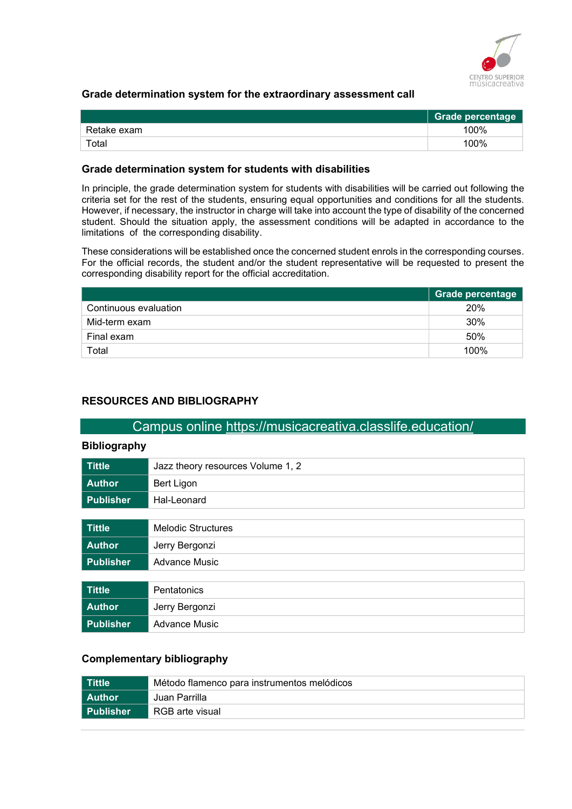

#### Grade determination system for the extraordinary assessment call

|             | <b>Grade percentage</b> |
|-------------|-------------------------|
| Retake exam | 100%                    |
| $\tau$ otal | 100%                    |

#### Grade determination system for students with disabilities

In principle, the grade determination system for students with disabilities will be carried out following the criteria set for the rest of the students, ensuring equal opportunities and conditions for all the students. However, if necessary, the instructor in charge will take into account the type of disability of the concerned student. Should the situation apply, the assessment conditions will be adapted in accordance to the limitations of the corresponding disability.

These considerations will be established once the concerned student enrols in the corresponding courses. For the official records, the student and/or the student representative will be requested to present the corresponding disability report for the official accreditation.

|                       | Grade percentage |
|-----------------------|------------------|
| Continuous evaluation | 20%              |
| Mid-term exam         | 30%              |
| Final exam            | 50%              |
| Total                 | 100%             |

#### RESOURCES AND BIBLIOGRAPHY

## Campus online https://musicacreativa.classlife.education/

#### Bibliography

| <b>Tittle</b>    | Jazz theory resources Volume 1, 2 |
|------------------|-----------------------------------|
| <b>Author</b>    | Bert Ligon                        |
| <b>Publisher</b> | Hal-Leonard                       |
|                  |                                   |
| <b>Tittle</b>    | <b>Melodic Structures</b>         |
| <b>Author</b>    | Jerry Bergonzi                    |
| <b>Publisher</b> | <b>Advance Music</b>              |
|                  |                                   |
| <b>Tittle</b>    | Pentatonics                       |
| <b>Author</b>    | Jerry Bergonzi                    |
| <b>Publisher</b> | <b>Advance Music</b>              |

#### Complementary bibliography

| l Tittle  | Método flamenco para instrumentos melódicos |
|-----------|---------------------------------------------|
| l Author  | Juan Parrilla                               |
| Publisher | RGB arte visual                             |
|           |                                             |